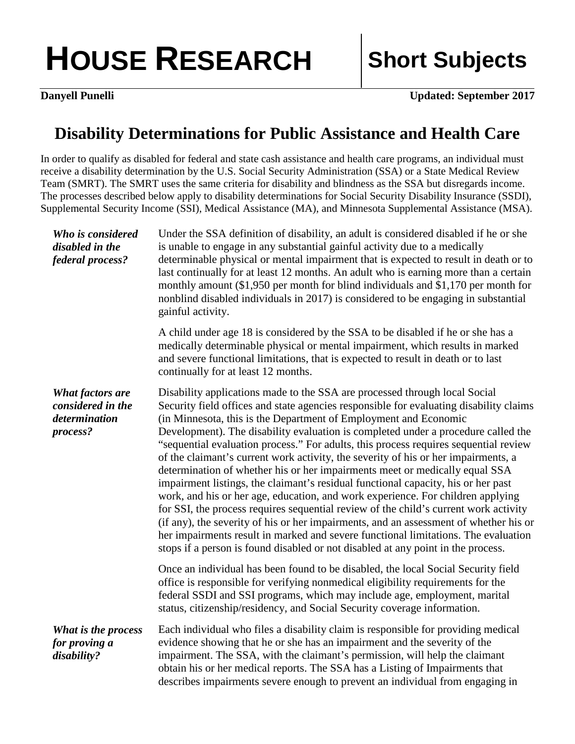## HOUSE RESEARCH Short Subjects

**Danyell Punelli Updated: September 2017** 

## **Disability Determinations for Public Assistance and Health Care**

In order to qualify as disabled for federal and state cash assistance and health care programs, an individual must receive a disability determination by the U.S. Social Security Administration (SSA) or a State Medical Review Team (SMRT). The SMRT uses the same criteria for disability and blindness as the SSA but disregards income. The processes described below apply to disability determinations for Social Security Disability Insurance (SSDI), Supplemental Security Income (SSI), Medical Assistance (MA), and Minnesota Supplemental Assistance (MSA).

| Who is considered<br>disabled in the<br>federal process?                  | Under the SSA definition of disability, an adult is considered disabled if he or she<br>is unable to engage in any substantial gainful activity due to a medically<br>determinable physical or mental impairment that is expected to result in death or to<br>last continually for at least 12 months. An adult who is earning more than a certain<br>monthly amount (\$1,950 per month for blind individuals and \$1,170 per month for<br>nonblind disabled individuals in 2017) is considered to be engaging in substantial<br>gainful activity.                                                                                                                                                                                                                                                                                                                                                                                                                                                                                                                                                                            |
|---------------------------------------------------------------------------|-------------------------------------------------------------------------------------------------------------------------------------------------------------------------------------------------------------------------------------------------------------------------------------------------------------------------------------------------------------------------------------------------------------------------------------------------------------------------------------------------------------------------------------------------------------------------------------------------------------------------------------------------------------------------------------------------------------------------------------------------------------------------------------------------------------------------------------------------------------------------------------------------------------------------------------------------------------------------------------------------------------------------------------------------------------------------------------------------------------------------------|
|                                                                           | A child under age 18 is considered by the SSA to be disabled if he or she has a<br>medically determinable physical or mental impairment, which results in marked<br>and severe functional limitations, that is expected to result in death or to last<br>continually for at least 12 months.                                                                                                                                                                                                                                                                                                                                                                                                                                                                                                                                                                                                                                                                                                                                                                                                                                  |
| <b>What factors are</b><br>considered in the<br>determination<br>process? | Disability applications made to the SSA are processed through local Social<br>Security field offices and state agencies responsible for evaluating disability claims<br>(in Minnesota, this is the Department of Employment and Economic<br>Development). The disability evaluation is completed under a procedure called the<br>"sequential evaluation process." For adults, this process requires sequential review<br>of the claimant's current work activity, the severity of his or her impairments, a<br>determination of whether his or her impairments meet or medically equal SSA<br>impairment listings, the claimant's residual functional capacity, his or her past<br>work, and his or her age, education, and work experience. For children applying<br>for SSI, the process requires sequential review of the child's current work activity<br>(if any), the severity of his or her impairments, and an assessment of whether his or<br>her impairments result in marked and severe functional limitations. The evaluation<br>stops if a person is found disabled or not disabled at any point in the process. |
|                                                                           | Once an individual has been found to be disabled, the local Social Security field<br>office is responsible for verifying nonmedical eligibility requirements for the<br>federal SSDI and SSI programs, which may include age, employment, marital<br>status, citizenship/residency, and Social Security coverage information.                                                                                                                                                                                                                                                                                                                                                                                                                                                                                                                                                                                                                                                                                                                                                                                                 |
| What is the process<br>for proving a<br>disability?                       | Each individual who files a disability claim is responsible for providing medical<br>evidence showing that he or she has an impairment and the severity of the<br>impairment. The SSA, with the claimant's permission, will help the claimant<br>obtain his or her medical reports. The SSA has a Listing of Impairments that<br>describes impairments severe enough to prevent an individual from engaging in                                                                                                                                                                                                                                                                                                                                                                                                                                                                                                                                                                                                                                                                                                                |